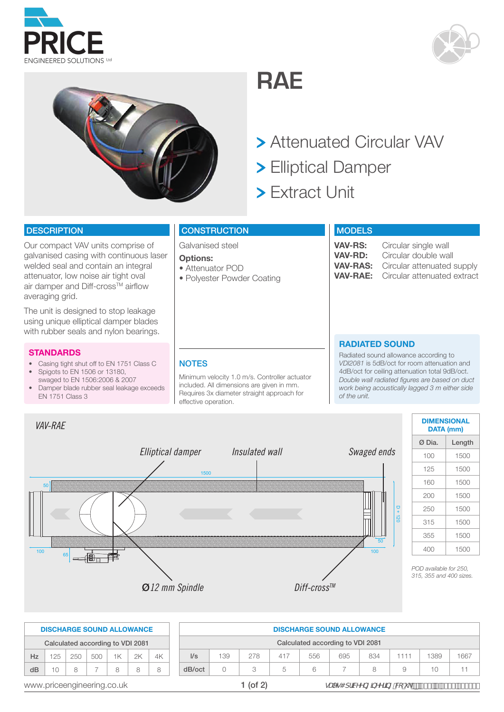







- Attenuated Circular VAV
- Elliptical Damper
- Extract Unit

#### **DESCRIPTION**

welded seal and contain an integral Our compact VAV units comprise of galvanised casing with continuous laser attenuator, low noise air tight oval air damper and Diff-cross<sup>TM</sup> airflow averaging grid.

with rubber seals and nylon bearings. The contract of the contract of the contract of the contract of the contract of the contract of the contract of the contract of the contract of the contract of the contract of the cont The unit is designed to stop leakage using unique elliptical damper blades

#### **STANDARDS**

- Casing tight shut off to EN 1751 Class C
- Spigots to EN 1506 or 13180, swaged to EN 1506:2006 & 2007
- Damper blade rubber seal leakage exceeds EN 1751 Class 3

## **CONSTRUCTION**

Galvanised steel

#### **Options:**

**NOTES** 

effective operation.

• Attenuator POD

• Polyester Powder Coating

Minimum velocity 1.0 m/s. Controller actuator included. All dimensions are given in mm. Requires 3x diameter straight approach for

#### **MODELS**

**VAV-RS:** Circular single wall<br>**VAV-RD:** Circular double wa **VAV-RD:** Circular double wall Circular attenuated supply **VAV-RAE:** Circular attenuated extract

# **RADIATED SOUND**

Radiated sound allowance according to *VDI2081* is 5dB/oct for room attenuation and 4dB/oct for ceiling attenuation total 9dB/oct. *Double wall radiated figures are based on duct work being acoustically lagged 3 m either side of the unit.*



| DATA (mm) | <b>DIMENSIONAL</b> |
|-----------|--------------------|
| Ø Dia.    | Length             |
| 100       | 1500               |
| 125       | 1500               |
| 160       | 1500               |
| 200       | 1500               |
| 250       | 1500               |
| 315       | 1500               |
| 355       | 1500               |
| 400       | 1500               |

*POD available for 250, 315, 355 and 400 sizes.*

|                            |                                  |     | <b>DISCHARGE SOUND ALLOWANCE</b> |    |    |    |            |                                  |     |     | <b>DISCHARGE SOUND ALLOWANCE</b> |     |     |                                                                  |      |      |
|----------------------------|----------------------------------|-----|----------------------------------|----|----|----|------------|----------------------------------|-----|-----|----------------------------------|-----|-----|------------------------------------------------------------------|------|------|
|                            | Calculated according to VDI 2081 |     |                                  |    |    |    |            | Calculated according to VDI 2081 |     |     |                                  |     |     |                                                                  |      |      |
| Hz                         | $125 -$                          | 250 | 500                              | 1K | 2K | 4K | $\sqrt{s}$ | 139                              | 278 | 417 | 556                              | 695 | 834 | 1111                                                             | 1389 | 1667 |
| dB                         |                                  | 8   | -                                |    | 8  | 8  | dB/oct     | $\bigcap$                        |     |     | 6                                |     | 8   |                                                                  | 10   |      |
| www.priceengineering.co.uk |                                  |     |                                  |    |    |    |            | $1$ (of $2$ )                    |     |     |                                  |     |     | gUYg4 dfJMYYb[ ]bYYf]b[ "Ve"i _ p Ž ( ( 'f\$E% ' ( ', ' ) - \$\$ |      |      |